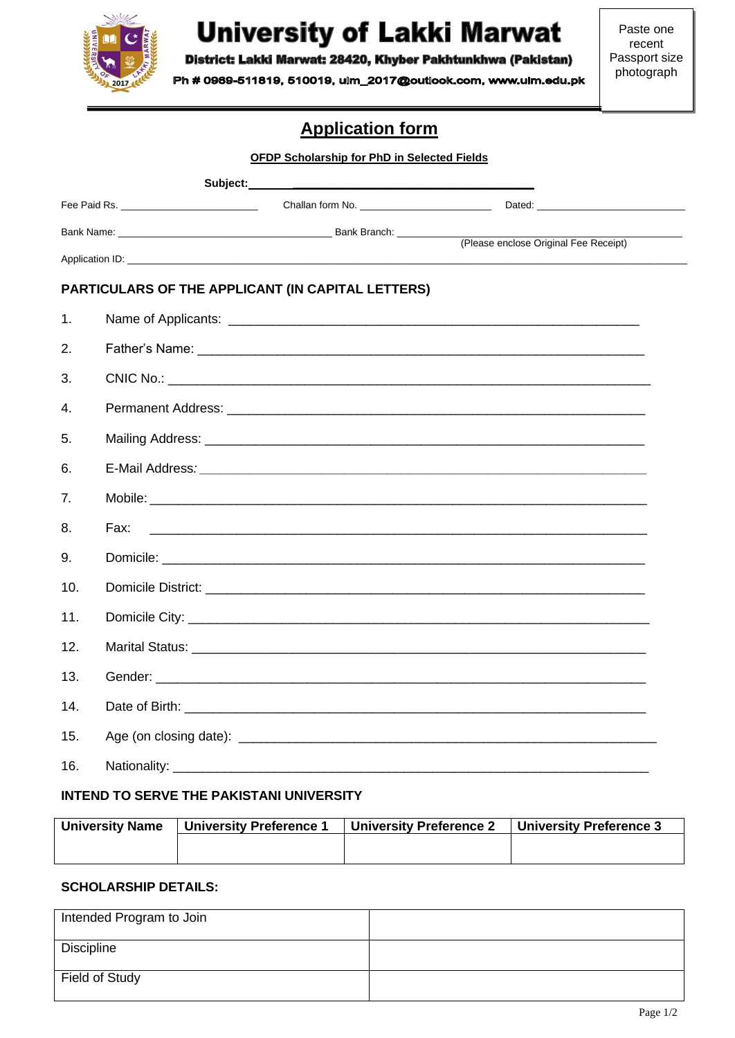

# **University of Lakki Marwat**

District: Lakki Marwat: 28420, Khyber Pakhtunkhwa (Pakistan)

Ph # 0969-511819, 510019, ulm\_2017@outlook.com, www.ulm.edu.pk

# **Application form**

|     |      | <b>OFDP Scholarship for PhD in Selected Fields</b>                                                                  |                                       |
|-----|------|---------------------------------------------------------------------------------------------------------------------|---------------------------------------|
|     |      |                                                                                                                     |                                       |
|     |      |                                                                                                                     |                                       |
|     |      |                                                                                                                     | (Please enclose Original Fee Receipt) |
|     |      |                                                                                                                     |                                       |
|     |      | PARTICULARS OF THE APPLICANT (IN CAPITAL LETTERS)                                                                   |                                       |
| 1.  |      |                                                                                                                     |                                       |
| 2.  |      |                                                                                                                     |                                       |
| 3.  |      |                                                                                                                     |                                       |
| 4.  |      |                                                                                                                     |                                       |
| 5.  |      |                                                                                                                     |                                       |
| 6.  |      |                                                                                                                     |                                       |
| 7.  |      |                                                                                                                     |                                       |
| 8.  | Fax: | <u> 1980 - John Stein, Amerikaansk politiker († 1908)</u>                                                           |                                       |
| 9.  |      |                                                                                                                     |                                       |
| 10. |      | Domicile District: <u>Alexander Alexander Alexander Alexander Alexander Alexander Alexander Alexander Alexander</u> |                                       |
| 11. |      |                                                                                                                     |                                       |
| 12. |      |                                                                                                                     |                                       |
| 13. |      |                                                                                                                     |                                       |
| 14. |      |                                                                                                                     |                                       |
| 15. |      |                                                                                                                     |                                       |
| 16. |      |                                                                                                                     |                                       |

## **INTEND TO SERVE THE PAKISTANI UNIVERSITY**

| <b>University Name</b> | <b>University Preference 1</b> | <sup>∣</sup> University Preference 2 | University Preference 3 |  |  |  |
|------------------------|--------------------------------|--------------------------------------|-------------------------|--|--|--|
|                        |                                |                                      |                         |  |  |  |
|                        |                                |                                      |                         |  |  |  |

# **SCHOLARSHIP DETAILS:**

| Intended Program to Join |  |
|--------------------------|--|
| Discipline               |  |
| Field of Study           |  |